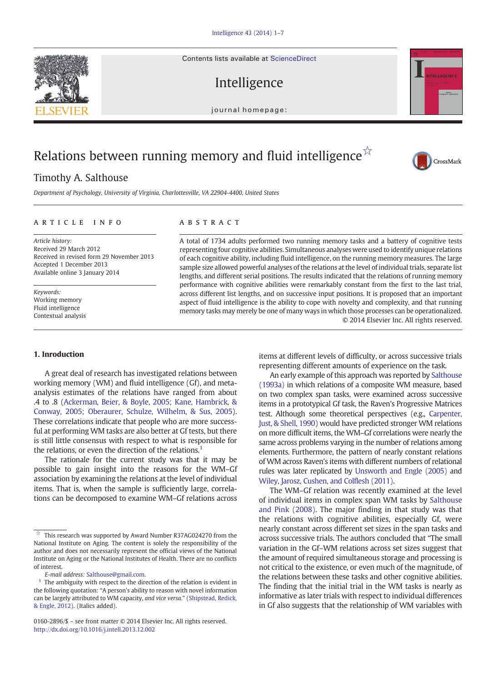Contents lists available at ScienceDirect

Intelligence

 $\frac{1}{2}$ 

## Relations between running memory and fluid intelligence $\tilde{\mathbf{x}}$

### Timothy A. Salthouse

Department of Psychology, University of Virginia, Charlottesville, VA 22904-4400, United States

#### article info abstract

Article history: Received 29 March 2012 Received in revised form 29 November 2013 Accepted 1 December 2013 Available online 3 January 2014

Keywords: Working memory Fluid intelligence Contextual analysis

#### 1. Inroduction

A great deal of research has investigated relations between working memory (WM) and fluid intelligence (Gf), and metaanalysis estimates of the relations have ranged from about .4 to .8 [\(Ackerman, Beier, & Boyle, 2005; Kane, Hambrick, &](#page--1-0) [Conway, 2005; Oberaurer, Schulze, Wilhelm, & Sus, 2005\)](#page--1-0). These correlations indicate that people who are more successful at performing WM tasks are also better at Gf tests, but there is still little consensus with respect to what is responsible for the relations, or even the direction of the relations.<sup>1</sup>

The rationale for the current study was that it may be possible to gain insight into the reasons for the WM–Gf association by examining the relations at the level of individual items. That is, when the sample is sufficiently large, correlations can be decomposed to examine WM–Gf relations across

A total of 1734 adults performed two running memory tasks and a battery of cognitive tests representing four cognitive abilities. Simultaneous analyses were used to identify unique relations of each cognitive ability, including fluid intelligence, on the running memory measures. The large sample size allowed powerful analyses of the relations at the level of individual trials, separate list lengths, and different serial positions. The results indicated that the relations of running memory performance with cognitive abilities were remarkably constant from the first to the last trial, across different list lengths, and on successive input positions. It is proposed that an important aspect of fluid intelligence is the ability to cope with novelty and complexity, and that running memory tasks may merely be one of many ways in which those processes can be operationalized. © 2014 Elsevier Inc. All rights reserved.

> items at different levels of difficulty, or across successive trials representing different amounts of experience on the task.

> An early example of this approach was reported by Salthouse (1993a) in which relations of a composite WM measure, based on two complex span tasks, were examined across successive items in a prototypical Gf task, the Raven's Progressive Matrices test. Although some theoretical perspectives (e.g., Carpenter, Just, & Shell, 1990) would have predicted stronger WM relations on more difficult items, the WM–Gf correlations were nearly the same across problems varying in the number of relations among elements. Furthermore, the pattern of nearly constant relations of WM across Raven's items with different numbers of relational rules was later replicated by Unsworth and Engle (2005) and Wiley, Jarosz, Cushen, and Colflesh (2011).

> The WM–Gf relation was recently examined at the level of individual items in complex span WM tasks by Salthouse and Pink (2008). The major finding in that study was that the relations with cognitive abilities, especially Gf, were nearly constant across different set sizes in the span tasks and across successive trials. The authors concluded that "The small variation in the Gf–WM relations across set sizes suggest that the amount of required simultaneous storage and processing is not critical to the existence, or even much of the magnitude, of the relations between these tasks and other cognitive abilities. The finding that the initial trial in the WM tasks is nearly as informative as later trials with respect to individual differences in Gf also suggests that the relationship of WM variables with







 $\overrightarrow{a}$  This research was supported by Award Number R37AG024270 from the National Institute on Aging. The content is solely the responsibility of the author and does not necessarily represent the official views of the National Institute on Aging or the National Institutes of Health. There are no conflicts of interest.

E-mail address: [Salthouse@gmail.com](mailto:Salthouse@gmail.com).

 $1$  The ambiguity with respect to the direction of the relation is evident in the following quotation: "A person's ability to reason with novel information can be largely attributed to WM capacity, and vice versa." ([Shipstead, Redick,](#page--1-0) [& Engle, 2012](#page--1-0)). (Italics added).

<sup>0160-2896/\$</sup> – see front matter © 2014 Elsevier Inc. All rights reserved. <http://dx.doi.org/10.1016/j.intell.2013.12.002>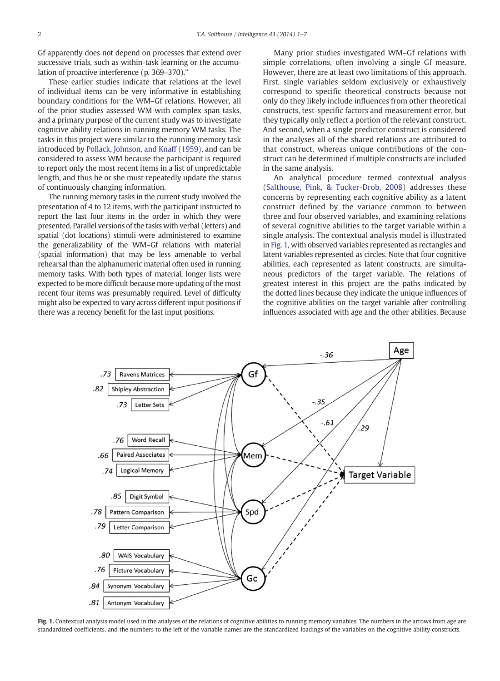Gf apparently does not depend on processes that extend over successive trials, such as within-task learning or the accumulation of proactive interference (p. 369–370)."

These earlier studies indicate that relations at the level of individual items can be very informative in establishing boundary conditions for the WM–Gf relations. However, all of the prior studies assessed WM with complex span tasks, and a primary purpose of the current study was to investigate cognitive ability relations in running memory WM tasks. The tasks in this project were similar to the running memory task introduced by Pollack, Johnson, and Knaff (1959), and can be considered to assess WM because the participant is required to report only the most recent items in a list of unpredictable length, and thus he or she must repeatedly update the status of continuously changing information.

The running memory tasks in the current study involved the presentation of 4 to 12 items, with the participant instructed to report the last four items in the order in which they were presented. Parallel versions of the tasks with verbal (letters) and spatial (dot locations) stimuli were administered to examine the generalizability of the WM–Gf relations with material (spatial information) that may be less amenable to verbal rehearsal than the alphanumeric material often used in running memory tasks. With both types of material, longer lists were expected to be more difficult because more updating of the most recent four items was presumably required. Level of difficulty might also be expected to vary across different input positions if there was a recency benefit for the last input positions.

Many prior studies investigated WM–Gf relations with simple correlations, often involving a single Gf measure. However, there are at least two limitations of this approach. First, single variables seldom exclusively or exhaustively correspond to specific theoretical constructs because not only do they likely include influences from other theoretical constructs, test-specific factors and measurement error, but they typically only reflect a portion of the relevant construct. And second, when a single predictor construct is considered in the analyses all of the shared relations are attributed to that construct, whereas unique contributions of the construct can be determined if multiple constructs are included in the same analysis.

An analytical procedure termed contextual analysis (Salthouse, Pink, & Tucker-Drob, 2008) addresses these concerns by representing each cognitive ability as a latent construct defined by the variance common to between three and four observed variables, and examining relations of several cognitive abilities to the target variable within a single analysis. The contextual analysis model is illustrated in Fig. 1, with observed variables represented as rectangles and latent variables represented as circles. Note that four cognitive abilities, each represented as latent constructs, are simultaneous predictors of the target variable. The relations of greatest interest in this project are the paths indicated by the dotted lines because they indicate the unique influences of the cognitive abilities on the target variable after controlling influences associated with age and the other abilities. Because



Fig. 1. Contextual analysis model used in the analyses of the relations of cognitive abilities to running memory variables. The numbers in the arrows from age are standardized coefficients, and the numbers to the left of the variable names are the standardized loadings of the variables on the cognitive ability constructs.